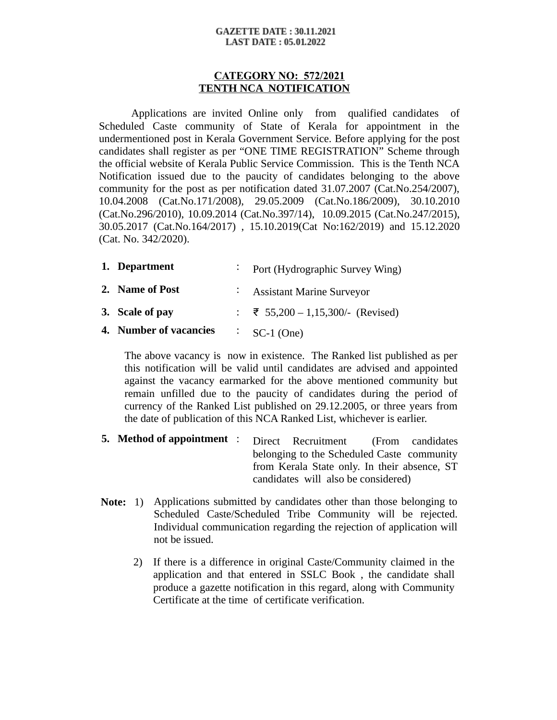#### **GAZETTE DATE: 30.11.2021 LAST DATE: 05.01.2022**

#### **CATEGORY NO: 572/2021 TENTH NCA NOTIFICATION**

Applications are invited Online only from qualified candidates of Scheduled Caste community of State of Kerala for appointment in the undermentioned post in Kerala Government Service. Before applying for the post candidates shall register as per "ONE TIME REGISTRATION" Scheme through the official website of Kerala Public Service Commission. This is the Tenth NCA Notification issued due to the paucity of candidates belonging to the above community for the post as per notification dated 31.07.2007 (Cat.No.254/2007), 10.04.2008 (Cat.No.171/2008), 29.05.2009 (Cat.No.186/2009), 30.10.2010 (Cat.No.296/2010), 10.09.2014 (Cat.No.397/14), 10.09.2015 (Cat.No.247/2015), 30.05.2017 (Cat.No.164/2017) , 15.10.2019(Cat No:162/2019) and 15.12.2020 (Cat. No. 342/2020).

| 1. Department          | Port (Hydrographic Survey Wing)   |
|------------------------|-----------------------------------|
| 2. Name of Post        | <b>Assistant Marine Surveyor</b>  |
| 3. Scale of pay        | : ₹ 55,200 – 1,15,300/- (Revised) |
| 4. Number of vacancies | $\cdot$ SC-1 (One)                |

The above vacancy is now in existence. The Ranked list published as per this notification will be valid until candidates are advised and appointed against the vacancy earmarked for the above mentioned community but remain unfilled due to the paucity of candidates during the period of currency of the Ranked List published on 29.12.2005, or three years from the date of publication of this NCA Ranked List, whichever is earlier.

- **5. Method of appointment** : Direct Recruitment (From candidates belonging to the Scheduled Caste community from Kerala State only. In their absence, ST candidates will also be considered)
- **Note:** 1) Applications submitted by candidates other than those belonging to Scheduled Caste/Scheduled Tribe Community will be rejected. Individual communication regarding the rejection of application will not be issued.
	- 2) If there is a difference in original Caste/Community claimed in the application and that entered in SSLC Book , the candidate shall produce a gazette notification in this regard, along with Community Certificate at the time of certificate verification.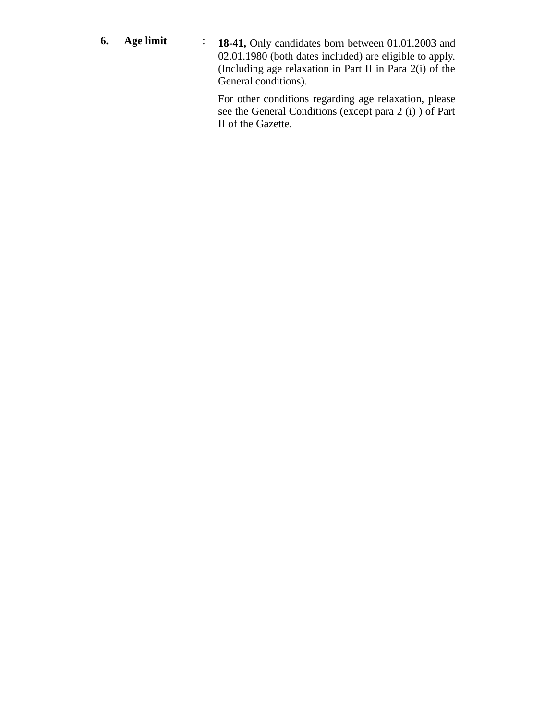**6. Age limit** : **18-41,** Only candidates born between 01.01.2003 and 02.01.1980 (both dates included) are eligible to apply. (Including age relaxation in Part II in Para 2(i) of the General conditions).

> For other conditions regarding age relaxation, please see the General Conditions (except para 2 (i) ) of Part II of the Gazette.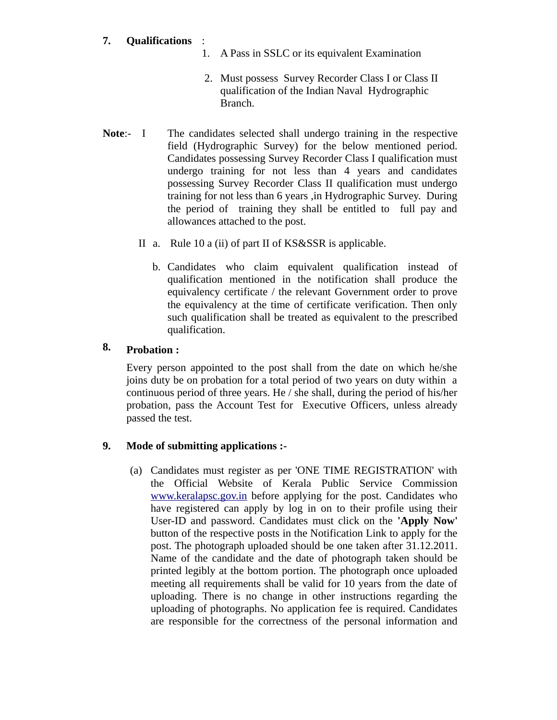## **7. Qualifications** :

- 1. A Pass in SSLC or its equivalent Examination
- 2. Must possess Survey Recorder Class I or Class II qualification of the Indian Naval Hydrographic Branch.
- **Note:-** I The candidates selected shall undergo training in the respective field (Hydrographic Survey) for the below mentioned period. Candidates possessing Survey Recorder Class I qualification must undergo training for not less than 4 years and candidates possessing Survey Recorder Class II qualification must undergo training for not less than 6 years ,in Hydrographic Survey. During the period of training they shall be entitled to full pay and allowances attached to the post.
	- II a. Rule 10 a (ii) of part II of KS&SSR is applicable.
		- b. Candidates who claim equivalent qualification instead of qualification mentioned in the notification shall produce the equivalency certificate / the relevant Government order to prove the equivalency at the time of certificate verification. Then only such qualification shall be treated as equivalent to the prescribed qualification.

### **8. Probation :**

Every person appointed to the post shall from the date on which he/she joins duty be on probation for a total period of two years on duty within a continuous period of three years. He / she shall, during the period of his/her probation, pass the Account Test for Executive Officers, unless already passed the test.

### **9. Mode of submitting applications :-**

(a) Candidates must register as per 'ONE TIME REGISTRATION' with the Official Website of Kerala Public Service Commission [www.keralapsc.gov.in](http://www.kerealapsc.gov.in/) before applying for the post. Candidates who have registered can apply by log in on to their profile using their User-ID and password. Candidates must click on the **'Apply Now'** button of the respective posts in the Notification Link to apply for the post. The photograph uploaded should be one taken after 31.12.2011. Name of the candidate and the date of photograph taken should be printed legibly at the bottom portion. The photograph once uploaded meeting all requirements shall be valid for 10 years from the date of uploading. There is no change in other instructions regarding the uploading of photographs. No application fee is required. Candidates are responsible for the correctness of the personal information and